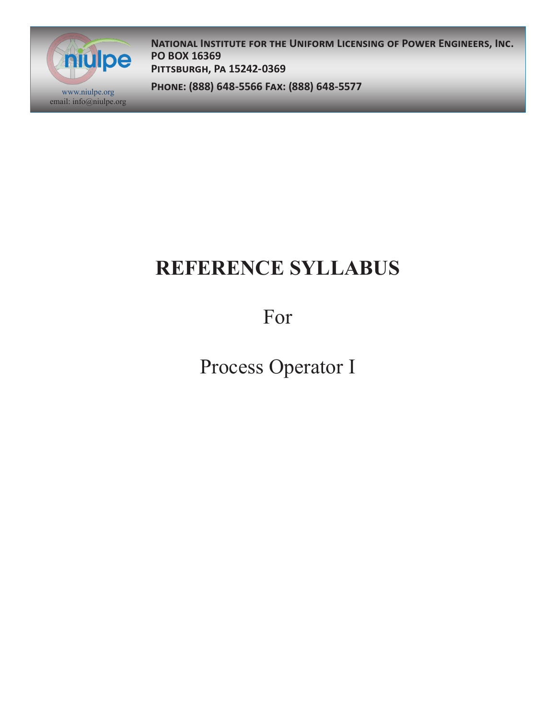

**National Institute for the Uniform Licensing of Power Engineers, Inc. PO BOX 16369 Pittsburgh, Pa 15242-0369**

**Phone: (888) 648-5566 Fax: (888) 648-5577** www.niulpe.org

# **REFERENCE SYLLABUS**

For

Process Operator I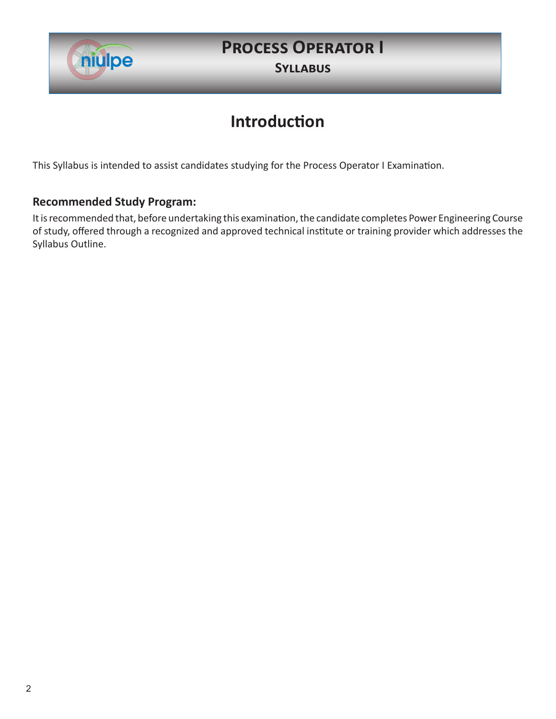

# **Process Operator I**

**Syllabus**

## **Introduction**

This Syllabus is intended to assist candidates studying for the Process Operator I Examination.

### **Recommended Study Program:**

It is recommended that, before undertaking this examination, the candidate completes Power Engineering Course of study, offered through a recognized and approved technical institute or training provider which addresses the Syllabus Outline.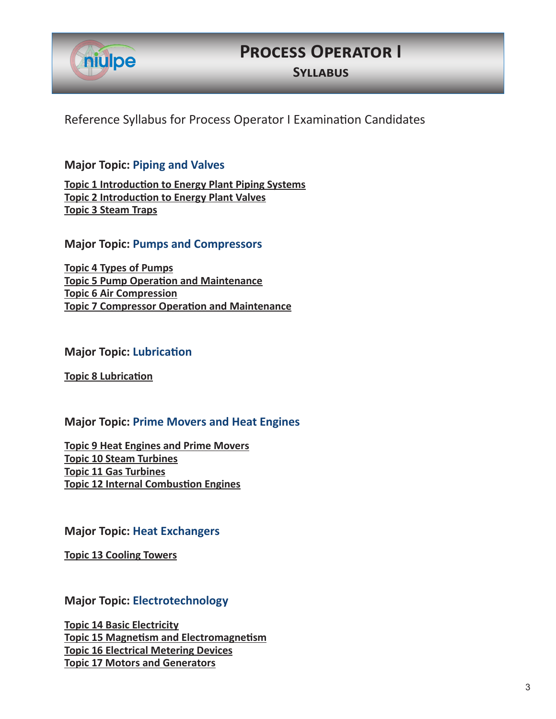

### **Process Operator I**

**Syllabus**

Reference Syllabus for Process Operator I Examination Candidates

### **Major Topic: Piping and Valves**

**Topic 1 Introduction to Energy Plant Piping Systems Topic 2 Introduction to Energy Plant Valves Topic 3 Steam Traps**

**Major Topic: Pumps and Compressors**

**Topic 4 Types of Pumps Topic 5 Pump Operation and Maintenance Topic 6 Air Compression Topic 7 Compressor Operation and Maintenance**

#### **Major Topic: Lubrication**

**Topic 8 Lubrication**

#### **Major Topic: Prime Movers and Heat Engines**

**Topic 9 Heat Engines and Prime Movers Topic 10 Steam Turbines Topic 11 Gas Turbines Topic 12 Internal Combustion Engines**

#### **Major Topic: Heat Exchangers**

**Topic 13 Cooling Towers**

### **Major Topic: Electrotechnology**

**Topic 14 Basic Electricity Topic 15 Magnetism and Electromagnetism Topic 16 Electrical Metering Devices Topic 17 Motors and Generators**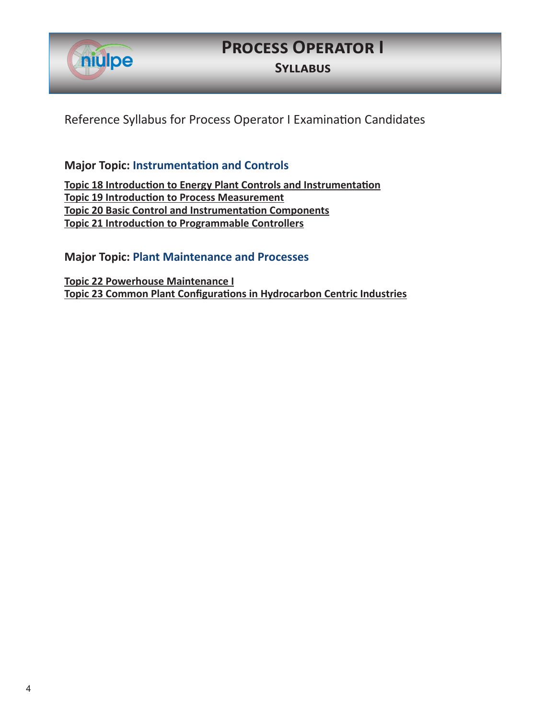

# **Process Operator I**

**Syllabus**

Reference Syllabus for Process Operator I Examination Candidates

**Major Topic: Instrumentation and Controls**

**Topic 18 Introduction to Energy Plant Controls and Instrumentation Topic 19 Introduction to Process Measurement Topic 20 Basic Control and Instrumentation Components Topic 21 Introduction to Programmable Controllers**

**Major Topic: Plant Maintenance and Processes**

**Topic 22 Powerhouse Maintenance I Topic 23 Common Plant Configurations in Hydrocarbon Centric Industries**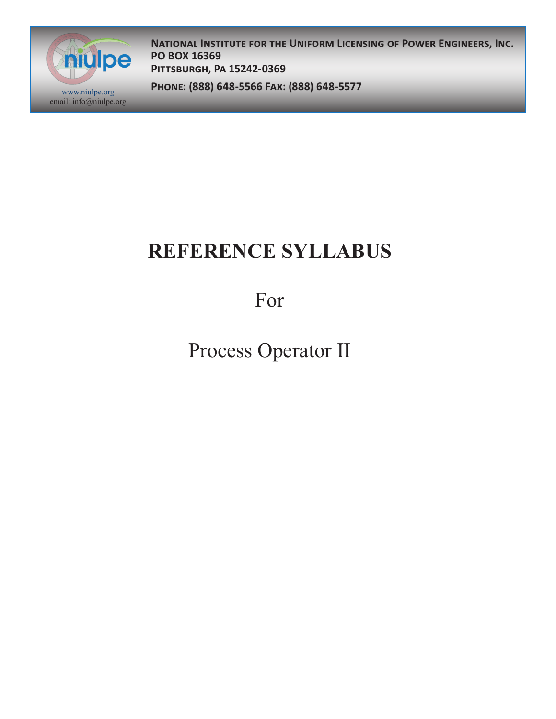

**National Institute for the Uniform Licensing of Power Engineers, Inc. PO BOX 16369 Pittsburgh, Pa 15242-0369**

**Phone: (888) 648-5566 Fax: (888) 648-5577** www.niulpe.org

# **REFERENCE SYLLABUS**

For

Process Operator II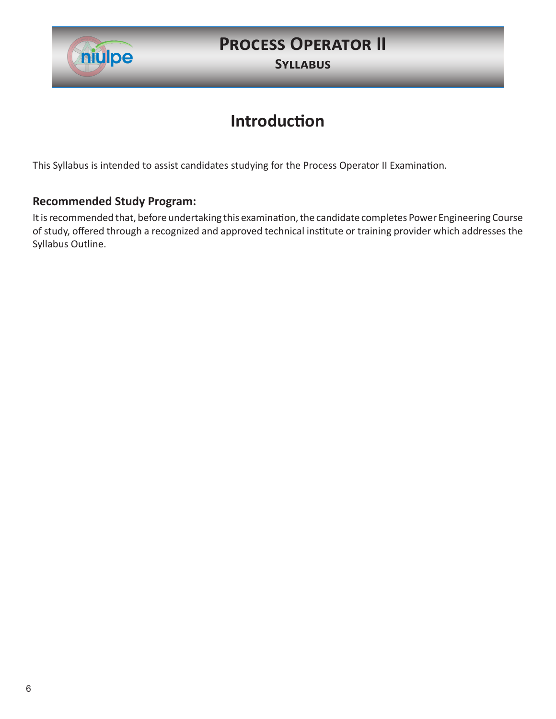

## **Process Operator II**

**Syllabus**

### **Introduction**

This Syllabus is intended to assist candidates studying for the Process Operator II Examination.

### **Recommended Study Program:**

It is recommended that, before undertaking this examination, the candidate completes Power Engineering Course of study, offered through a recognized and approved technical institute or training provider which addresses the Syllabus Outline.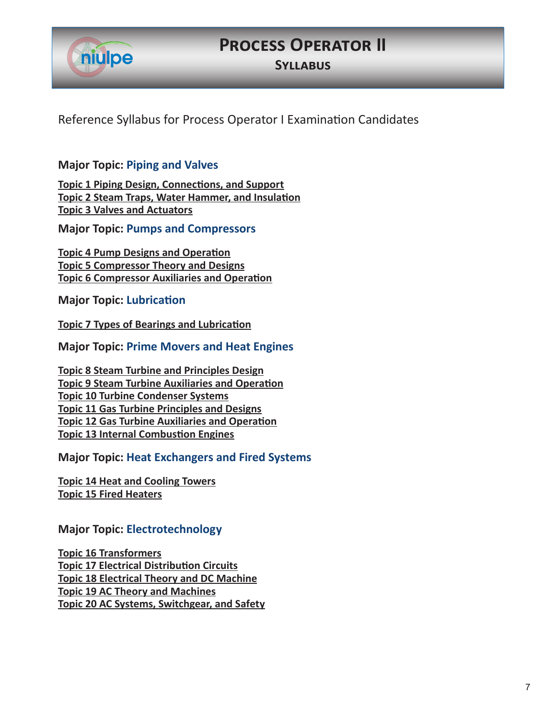

### **Process Operator II**

**Syllabus**

Reference Syllabus for Process Operator I Examination Candidates

### **Major Topic: Piping and Valves**

**Topic 1 Piping Design, Connections, and Support Topic 2 Steam Traps, Water Hammer, and Insulation Topic 3 Valves and Actuators**

**Major Topic: Pumps and Compressors**

**Topic 4 Pump Designs and Operation Topic 5 Compressor Theory and Designs Topic 6 Compressor Auxiliaries and Operation**

**Major Topic: Lubrication**

**Topic 7 Types of Bearings and Lubrication**

**Major Topic: Prime Movers and Heat Engines**

**Topic 8 Steam Turbine and Principles Design Topic 9 Steam Turbine Auxiliaries and Operation Topic 10 Turbine Condenser Systems Topic 11 Gas Turbine Principles and Designs Topic 12 Gas Turbine Auxiliaries and Operation Topic 13 Internal Combustion Engines**

**Major Topic: Heat Exchangers and Fired Systems**

**Topic 14 Heat and Cooling Towers Topic 15 Fired Heaters**

### **Major Topic: Electrotechnology**

**Topic 16 Transformers Topic 17 Electrical Distribution Circuits Topic 18 Electrical Theory and DC Machine Topic 19 AC Theory and Machines Topic 20 AC Systems, Switchgear, and Safety**